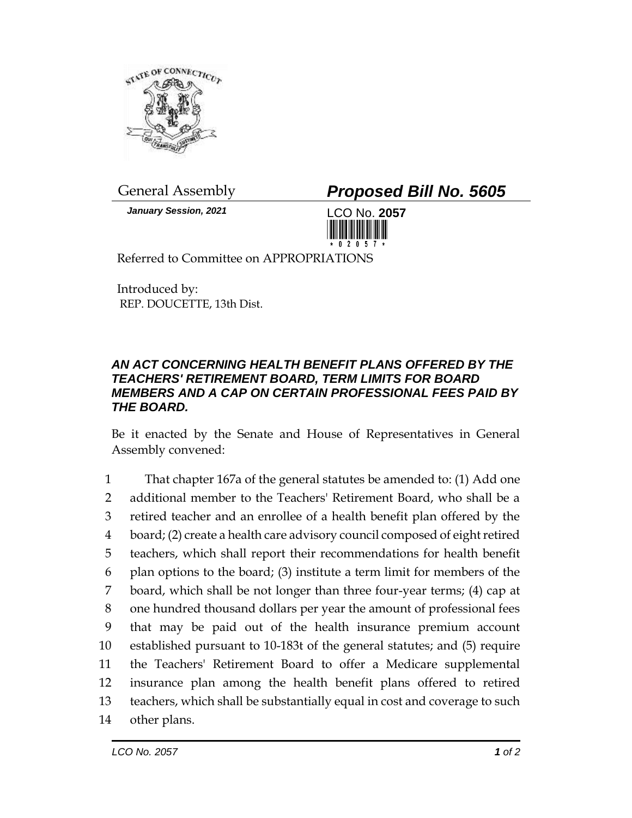

*January Session, 2021* LCO No. **2057**

General Assembly *Proposed Bill No. 5605*



Referred to Committee on APPROPRIATIONS

Introduced by: REP. DOUCETTE, 13th Dist.

## *AN ACT CONCERNING HEALTH BENEFIT PLANS OFFERED BY THE TEACHERS' RETIREMENT BOARD, TERM LIMITS FOR BOARD MEMBERS AND A CAP ON CERTAIN PROFESSIONAL FEES PAID BY THE BOARD.*

Be it enacted by the Senate and House of Representatives in General Assembly convened:

 That chapter 167a of the general statutes be amended to: (1) Add one additional member to the Teachers' Retirement Board, who shall be a retired teacher and an enrollee of a health benefit plan offered by the board; (2) create a health care advisory council composed of eight retired teachers, which shall report their recommendations for health benefit plan options to the board; (3) institute a term limit for members of the board, which shall be not longer than three four-year terms; (4) cap at one hundred thousand dollars per year the amount of professional fees that may be paid out of the health insurance premium account established pursuant to 10-183t of the general statutes; and (5) require the Teachers' Retirement Board to offer a Medicare supplemental insurance plan among the health benefit plans offered to retired teachers, which shall be substantially equal in cost and coverage to such other plans.